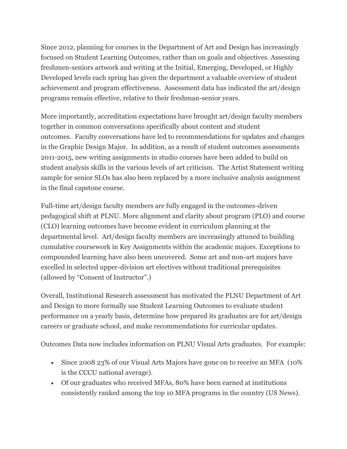Since 2012, planning for courses in the Department of Art and Design has increasingly focused on Student Learning Outcomes, rather than on goals and objectives. Assessing freshmen-seniors artwork and writing at the Initial, Emerging, Developed, or Highly Developed levels each spring has given the department a valuable overview of student achievement and program effectiveness. Assessment data has indicated the art/design programs remain effective, relative to their freshman-senior years.

More importantly, accreditation expectations have brought art/design faculty members together in common conversations specifically about content and student outcomes. Faculty conversations have led to recommendations for updates and changes in the Graphic Design Major. In addition, as a result of student outcomes assessments 2011-2015, new writing assignments in studio courses have been added to build on student analysis skills in the various levels of art criticism. The Artist Statement writing sample for senior SLOs has also been replaced by a more inclusive analysis assignment in the final capstone course.

Full-time art/design faculty members are fully engaged in the outcomes-driven pedagogical shift at PLNU. More alignment and clarity about program (PLO) and course (CLO) learning outcomes have become evident in curriculum planning at the departmental level. Art/design faculty members are increasingly attuned to building cumulative coursework in Key Assignments within the academic majors. Exceptions to compounded learning have also been uncovered. Some art and non-art majors have excelled in selected upper-division art electives without traditional prerequisites (allowed by "Consent of Instructor".)

Overall, Institutional Research assessment has motivated the PLNU Department of Art and Design to more formally use Student Learning Outcomes to evaluate student performance on a yearly basis, determine how prepared its graduates are for art/design careers or graduate school, and make recommendations for curricular updates.

Outcomes Data now includes information on PLNU Visual Arts graduates. For example:

- Since 2008 23% of our Visual Arts Majors have gone on to receive an MFA (10% is the CCCU national average).
- Of our graduates who received MFAs, 80% have been earned at institutions consistently ranked among the top 10 MFA programs in the country (US News).